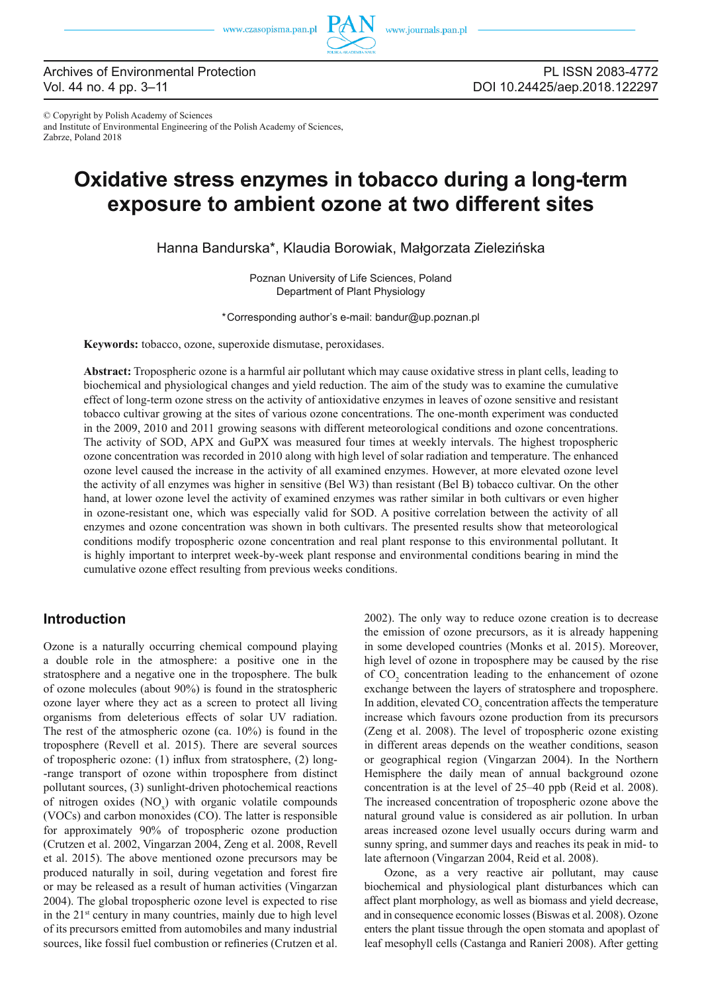

Archives of Environmental Protection Vol. 44 no. 4 pp. 3–11

PL ISSN 2083-4772 DOI 10.24425/aep.2018.122297

© Copyright by Polish Academy of Sciences and Institute of Environmental Engineering of the Polish Academy of Sciences, Zabrze, Poland 2018

# **Oxidative stress enzymes in tobacco during a long-term exposure to ambient ozone at two different sites**

Hanna Bandurska\*, Klaudia Borowiak, Małgorzata Zielezińska

Poznan University of Life Sciences, Poland Department of Plant Physiology

\*Corresponding author's e-mail: bandur@up.poznan.pl

**Keywords:** tobacco, ozone, superoxide dismutase, peroxidases.

**Abstract:** Tropospheric ozone is a harmful air pollutant which may cause oxidative stress in plant cells, leading to biochemical and physiological changes and yield reduction. The aim of the study was to examine the cumulative effect of long-term ozone stress on the activity of antioxidative enzymes in leaves of ozone sensitive and resistant tobacco cultivar growing at the sites of various ozone concentrations. The one-month experiment was conducted in the 2009, 2010 and 2011 growing seasons with different meteorological conditions and ozone concentrations. The activity of SOD, APX and GuPX was measured four times at weekly intervals. The highest tropospheric ozone concentration was recorded in 2010 along with high level of solar radiation and temperature. The enhanced ozone level caused the increase in the activity of all examined enzymes. However, at more elevated ozone level the activity of all enzymes was higher in sensitive (Bel W3) than resistant (Bel B) tobacco cultivar. On the other hand, at lower ozone level the activity of examined enzymes was rather similar in both cultivars or even higher in ozone-resistant one, which was especially valid for SOD. A positive correlation between the activity of all enzymes and ozone concentration was shown in both cultivars. The presented results show that meteorological conditions modify tropospheric ozone concentration and real plant response to this environmental pollutant. It is highly important to interpret week-by-week plant response and environmental conditions bearing in mind the cumulative ozone effect resulting from previous weeks conditions.

## **Introduction**

Ozone is a naturally occurring chemical compound playing a double role in the atmosphere: a positive one in the stratosphere and a negative one in the troposphere. The bulk of ozone molecules (about 90%) is found in the stratospheric ozone layer where they act as a screen to protect all living organisms from deleterious effects of solar UV radiation. The rest of the atmospheric ozone (ca. 10%) is found in the troposphere (Revell et al. 2015). There are several sources of tropospheric ozone: (1) influx from stratosphere, (2) long--range transport of ozone within troposphere from distinct pollutant sources, (3) sunlight-driven photochemical reactions of nitrogen oxides  $(NO_x)$  with organic volatile compounds (VOCs) and carbon monoxides (CO). The latter is responsible for approximately 90% of tropospheric ozone production (Crutzen et al. 2002, Vingarzan 2004, Zeng et al. 2008, Revell et al. 2015). The above mentioned ozone precursors may be produced naturally in soil, during vegetation and forest fire or may be released as a result of human activities (Vingarzan 2004). The global tropospheric ozone level is expected to rise in the  $21<sup>st</sup>$  century in many countries, mainly due to high level of its precursors emitted from automobiles and many industrial sources, like fossil fuel combustion or refineries (Crutzen et al.

2002). The only way to reduce ozone creation is to decrease the emission of ozone precursors, as it is already happening in some developed countries (Monks et al. 2015). Moreover, high level of ozone in troposphere may be caused by the rise of  $CO<sub>2</sub>$  concentration leading to the enhancement of ozone exchange between the layers of stratosphere and troposphere. In addition, elevated  $CO<sub>2</sub>$  concentration affects the temperature increase which favours ozone production from its precursors (Zeng et al. 2008). The level of tropospheric ozone existing in different areas depends on the weather conditions, season or geographical region (Vingarzan 2004). In the Northern Hemisphere the daily mean of annual background ozone concentration is at the level of 25–40 ppb (Reid et al. 2008). The increased concentration of tropospheric ozone above the natural ground value is considered as air pollution. In urban areas increased ozone level usually occurs during warm and sunny spring, and summer days and reaches its peak in mid- to late afternoon (Vingarzan 2004, Reid et al. 2008).

Ozone, as a very reactive air pollutant, may cause biochemical and physiological plant disturbances which can affect plant morphology, as well as biomass and yield decrease, and in consequence economic losses (Biswas et al. 2008). Ozone enters the plant tissue through the open stomata and apoplast of leaf mesophyll cells (Castanga and Ranieri 2008). After getting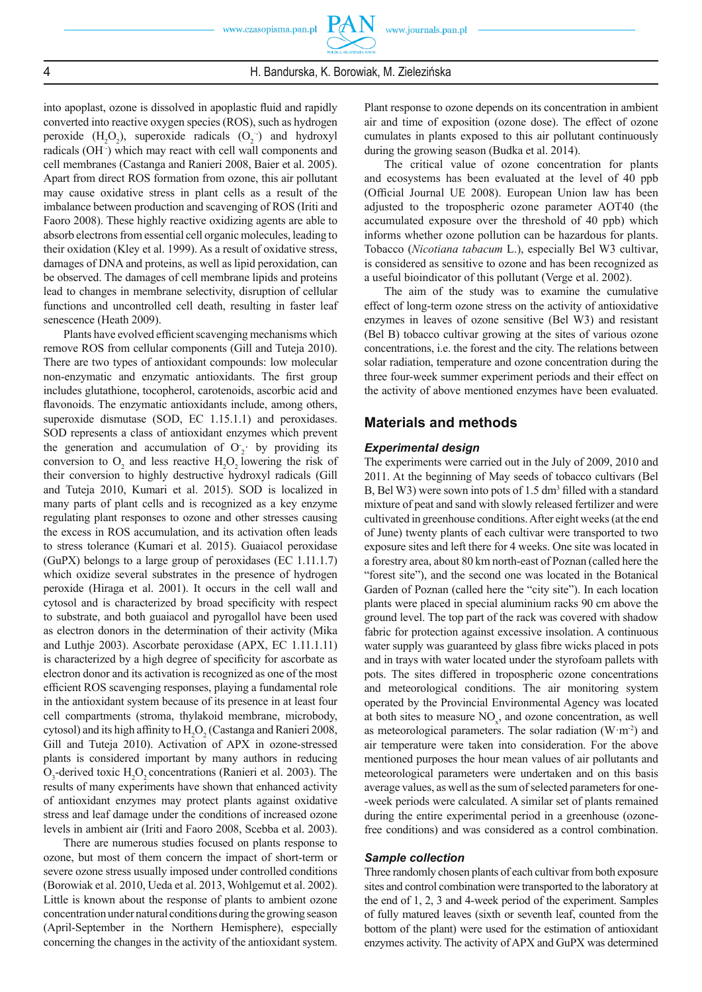

4 H. Bandurska, K. Borowiak, M. Zielezińska

into apoplast, ozone is dissolved in apoplastic fluid and rapidly converted into reactive oxygen species (ROS), such as hydrogen peroxide  $(H_2O_2)$ , superoxide radicals  $(O_2$ ) and hydroxyl radicals (OH·) which may react with cell wall components and cell membranes (Castanga and Ranieri 2008, Baier et al. 2005). Apart from direct ROS formation from ozone, this air pollutant may cause oxidative stress in plant cells as a result of the imbalance between production and scavenging of ROS (Iriti and Faoro 2008). These highly reactive oxidizing agents are able to absorb electrons from essential cell organic molecules, leading to their oxidation (Kley et al. 1999). As a result of oxidative stress, damages of DNA and proteins, as well as lipid peroxidation, can be observed. The damages of cell membrane lipids and proteins lead to changes in membrane selectivity, disruption of cellular functions and uncontrolled cell death, resulting in faster leaf senescence (Heath 2009).

Plants have evolved efficient scavenging mechanisms which remove ROS from cellular components (Gill and Tuteja 2010). There are two types of antioxidant compounds: low molecular non-enzymatic and enzymatic antioxidants. The first group includes glutathione, tocopherol, carotenoids, ascorbic acid and flavonoids. The enzymatic antioxidants include, among others, superoxide dismutase (SOD, EC 1.15.1.1) and peroxidases. SOD represents a class of antioxidant enzymes which prevent the generation and accumulation of  $O_2$  by providing its conversion to  $O_2$  and less reactive  $H_2O_2$  lowering the risk of their conversion to highly destructive hydroxyl radicals (Gill and Tuteja 2010, Kumari et al. 2015). SOD is localized in many parts of plant cells and is recognized as a key enzyme regulating plant responses to ozone and other stresses causing the excess in ROS accumulation, and its activation often leads to stress tolerance (Kumari et al. 2015). Guaiacol peroxidase (GuPX) belongs to a large group of peroxidases (EC 1.11.1.7) which oxidize several substrates in the presence of hydrogen peroxide (Hiraga et al. 2001). It occurs in the cell wall and cytosol and is characterized by broad specificity with respect to substrate, and both guaiacol and pyrogallol have been used as electron donors in the determination of their activity (Mika and Luthje 2003). Ascorbate peroxidase (APX, EC 1.11.1.11) is characterized by a high degree of specificity for ascorbate as electron donor and its activation is recognized as one of the most efficient ROS scavenging responses, playing a fundamental role in the antioxidant system because of its presence in at least four cell compartments (stroma, thylakoid membrane, microbody, cytosol) and its high affinity to  $H_2O_2$  (Castanga and Ranieri 2008, Gill and Tuteja 2010). Activation of APX in ozone-stressed plants is considered important by many authors in reducing  $O_3$ -derived toxic  $H_2O_2$  concentrations (Ranieri et al. 2003). The results of many experiments have shown that enhanced activity of antioxidant enzymes may protect plants against oxidative stress and leaf damage under the conditions of increased ozone levels in ambient air (Iriti and Faoro 2008, Scebba et al. 2003).

There are numerous studies focused on plants response to ozone, but most of them concern the impact of short-term or severe ozone stress usually imposed under controlled conditions (Borowiak et al. 2010, Ueda et al. 2013, Wohlgemut et al. 2002). Little is known about the response of plants to ambient ozone concentration under natural conditions during the growing season (April-September in the Northern Hemisphere), especially concerning the changes in the activity of the antioxidant system.

Plant response to ozone depends on its concentration in ambient air and time of exposition (ozone dose). The effect of ozone cumulates in plants exposed to this air pollutant continuously during the growing season (Budka et al. 2014).

The critical value of ozone concentration for plants and ecosystems has been evaluated at the level of 40 ppb (Official Journal UE 2008). European Union law has been adjusted to the tropospheric ozone parameter AOT40 (the accumulated exposure over the threshold of 40 ppb) which informs whether ozone pollution can be hazardous for plants. Tobacco (*Nicotiana tabacum* L.), especially Bel W3 cultivar, is considered as sensitive to ozone and has been recognized as a useful bioindicator of this pollutant (Verge et al. 2002).

The aim of the study was to examine the cumulative effect of long-term ozone stress on the activity of antioxidative enzymes in leaves of ozone sensitive (Bel W3) and resistant (Bel B) tobacco cultivar growing at the sites of various ozone concentrations, i.e. the forest and the city. The relations between solar radiation, temperature and ozone concentration during the three four-week summer experiment periods and their effect on the activity of above mentioned enzymes have been evaluated.

#### **Materials and methods**

#### *Experimental design*

The experiments were carried out in the July of 2009, 2010 and 2011. At the beginning of May seeds of tobacco cultivars (Bel B, Bel W3) were sown into pots of 1.5 dm<sup>3</sup> filled with a standard mixture of peat and sand with slowly released fertilizer and were cultivated in greenhouse conditions. After eight weeks (at the end of June) twenty plants of each cultivar were transported to two exposure sites and left there for 4 weeks. One site was located in a forestry area, about 80 km north-east of Poznan (called here the "forest site"), and the second one was located in the Botanical Garden of Poznan (called here the "city site"). In each location plants were placed in special aluminium racks 90 cm above the ground level. The top part of the rack was covered with shadow fabric for protection against excessive insolation. A continuous water supply was guaranteed by glass fibre wicks placed in pots and in trays with water located under the styrofoam pallets with pots. The sites differed in tropospheric ozone concentrations and meteorological conditions. The air monitoring system operated by the Provincial Environmental Agency was located at both sites to measure  $NO<sub>x</sub>$ , and ozone concentration, as well as meteorological parameters. The solar radiation  $(W \text{ m}^2)$  and air temperature were taken into consideration. For the above mentioned purposes the hour mean values of air pollutants and meteorological parameters were undertaken and on this basis average values, as well as the sum of selected parameters for one- -week periods were calculated. A similar set of plants remained during the entire experimental period in a greenhouse (ozonefree conditions) and was considered as a control combination.

#### *Sample collection*

Three randomly chosen plants of each cultivar from both exposure sites and control combination were transported to the laboratory at the end of 1, 2, 3 and 4-week period of the experiment. Samples of fully matured leaves (sixth or seventh leaf, counted from the bottom of the plant) were used for the estimation of antioxidant enzymes activity. The activity of APX and GuPX was determined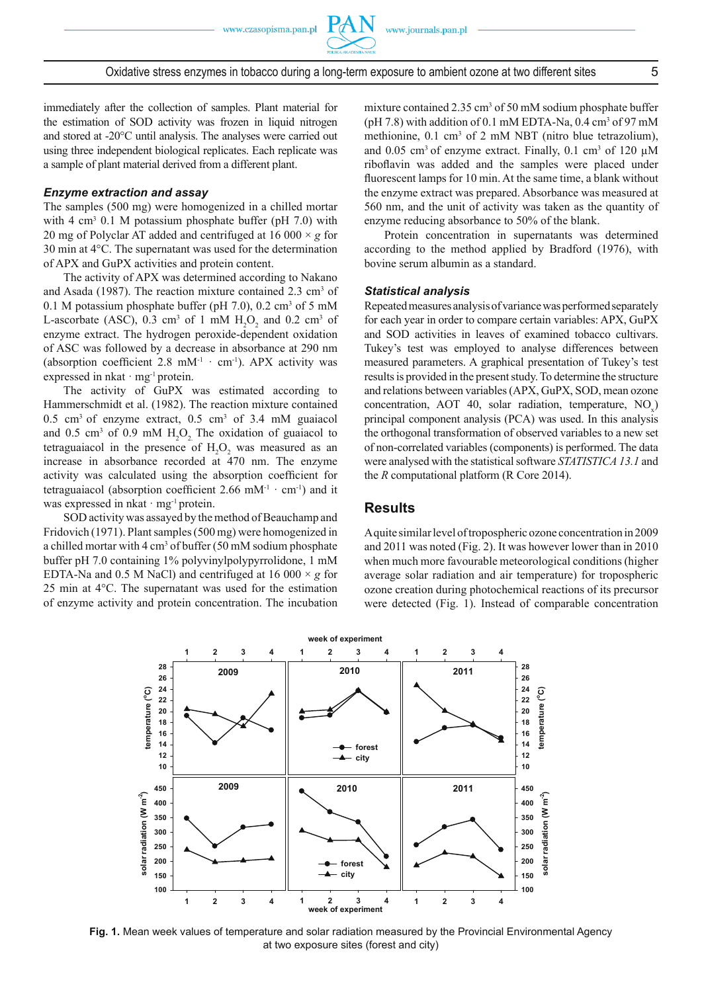immediately after the collection of samples. Plant material for the estimation of SOD activity was frozen in liquid nitrogen and stored at -20°C until analysis. The analyses were carried out using three independent biological replicates. Each replicate was a sample of plant material derived from a different plant.

#### *Enzyme extraction and assay*

The samples (500 mg) were homogenized in a chilled mortar with 4 cm<sup>3</sup> 0.1 M potassium phosphate buffer (pH 7.0) with 20 mg of Polyclar AT added and centrifuged at 16 000 × *g* for 30 min at 4°C. The supernatant was used for the determination of APX and GuPX activities and protein content.

The activity of APX was determined according to Nakano and Asada (1987). The reaction mixture contained 2.3 cm<sup>3</sup> of 0.1 M potassium phosphate buffer (pH  $7.0$ ), 0.2 cm<sup>3</sup> of 5 mM L-ascorbate (ASC),  $0.3 \text{ cm}^3$  of 1 mM  $H_2O_2$  and  $0.2 \text{ cm}^3$  of enzyme extract. The hydrogen peroxide-dependent oxidation of ASC was followed by a decrease in absorbance at 290 nm (absorption coefficient  $2.8 \text{ mM}^{-1} \cdot \text{ cm}^{-1}$ ). APX activity was expressed in nkat · mg<sup>-1</sup> protein.

The activity of GuPX was estimated according to Hammerschmidt et al. (1982). The reaction mixture contained  $0.5 \text{ cm}^3$  of enzyme extract,  $0.5 \text{ cm}^3$  of  $3.4 \text{ mM}$  guaiacol and 0.5 cm<sup>3</sup> of 0.9 mM  $H_2O_2$ . The oxidation of guaiacol to tetraguaiacol in the presence of  $H_2O_2$  was measured as an increase in absorbance recorded at 470 nm. The enzyme activity was calculated using the absorption coefficient for tetraguaiacol (absorption coefficient  $2.66$  mM<sup>-1</sup> · cm<sup>-1</sup>) and it was expressed in nkat · mg<sup>-1</sup> protein.

SOD activity was assayed by the method of Beauchamp and Fridovich (1971). Plant samples (500 mg) were homogenized in a chilled mortar with 4 cm<sup>3</sup> of buffer (50 mM sodium phosphate buffer pH 7.0 containing 1% polyvinylpolypyrrolidone, 1 mM EDTA-Na and 0.5 M NaCl) and centrifuged at 16 000  $\times$  *g* for 25 min at 4°C. The supernatant was used for the estimation of enzyme activity and protein concentration. The incubation

mixture contained 2.35 cm<sup>3</sup> of 50 mM sodium phosphate buffer  $(pH 7.8)$  with addition of 0.1 mM EDTA-Na, 0.4 cm<sup>3</sup> of 97 mM methionine, 0.1 cm<sup>3</sup> of 2 mM NBT (nitro blue tetrazolium), and 0.05 cm<sup>3</sup> of enzyme extract. Finally, 0.1 cm<sup>3</sup> of 120  $\mu$ M riboflavin was added and the samples were placed under fluorescent lamps for 10 min. At the same time, a blank without the enzyme extract was prepared. Absorbance was measured at 560 nm, and the unit of activity was taken as the quantity of enzyme reducing absorbance to 50% of the blank.

Protein concentration in supernatants was determined according to the method applied by Bradford (1976), with bovine serum albumin as a standard.

#### *Statistical analysis*

Repeated measures analysis of variance was performed separately for each year in order to compare certain variables: APX, GuPX and SOD activities in leaves of examined tobacco cultivars. Tukey's test was employed to analyse differences between measured parameters. A graphical presentation of Tukey's test results is provided in the present study. To determine the structure and relations between variables (APX, GuPX, SOD, mean ozone concentration, AOT 40, solar radiation, temperature,  $NO_x$ ) principal component analysis (PCA) was used. In this analysis the orthogonal transformation of observed variables to a new set of non-correlated variables (components) is performed. The data were analysed with the statistical software *STATISTICA 13.1* and the *R* computational platform (R Core 2014).

### **Results**

A quite similar level of tropospheric ozone concentration in 2009 and 2011 was noted (Fig. 2). It was however lower than in 2010 when much more favourable meteorological conditions (higher average solar radiation and air temperature) for tropospheric ozone creation during photochemical reactions of its precursor were detected (Fig. 1). Instead of comparable concentration



**Fig. 1.** Mean week values of temperature and solar radiation measured by the Provincial Environmental Agency at two exposure sites (forest and city)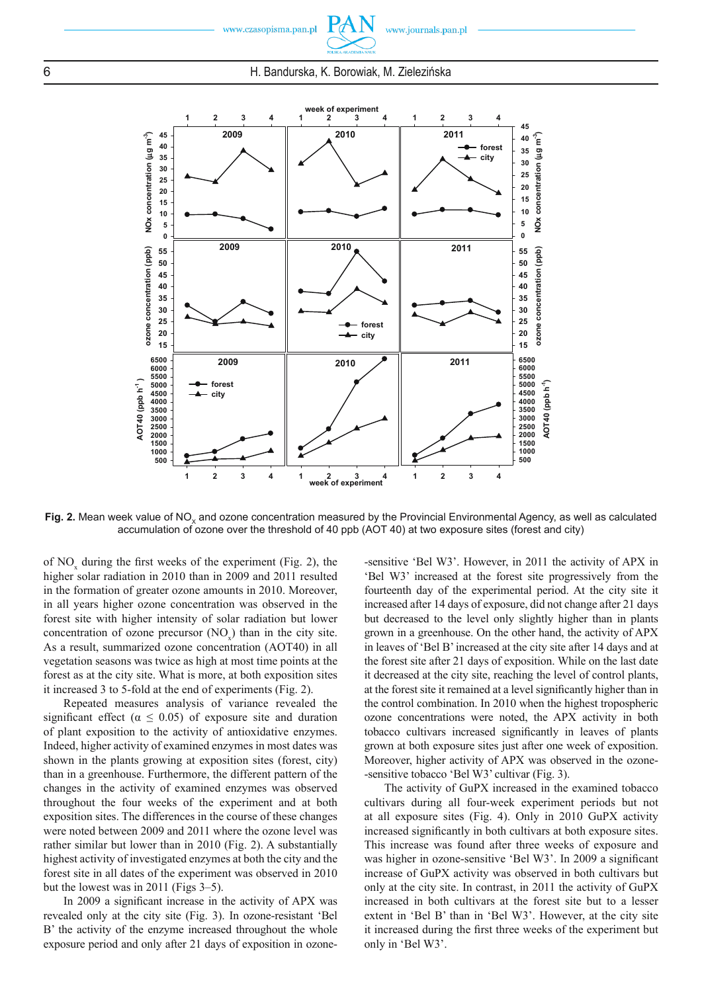



Fig. 2. Mean week value of NO<sub>x</sub> and ozone concentration measured by the Provincial Environmental Agency, as well as calculated accumulation of ozone over the threshold of 40 ppb (AOT 40) at two exposure sites (forest and city)

of  $NO_x$  during the first weeks of the experiment (Fig. 2), the higher solar radiation in 2010 than in 2009 and 2011 resulted in the formation of greater ozone amounts in 2010. Moreover, in all years higher ozone concentration was observed in the forest site with higher intensity of solar radiation but lower concentration of ozone precursor  $(NO_x)$  than in the city site. As a result, summarized ozone concentration (AOT40) in all vegetation seasons was twice as high at most time points at the forest as at the city site. What is more, at both exposition sites it increased 3 to 5-fold at the end of experiments (Fig. 2).

Repeated measures analysis of variance revealed the significant effect ( $\alpha \leq 0.05$ ) of exposure site and duration of plant exposition to the activity of antioxidative enzymes. Indeed, higher activity of examined enzymes in most dates was shown in the plants growing at exposition sites (forest, city) than in a greenhouse. Furthermore, the different pattern of the changes in the activity of examined enzymes was observed throughout the four weeks of the experiment and at both exposition sites. The differences in the course of these changes were noted between 2009 and 2011 where the ozone level was rather similar but lower than in 2010 (Fig. 2). A substantially highest activity of investigated enzymes at both the city and the forest site in all dates of the experiment was observed in 2010 but the lowest was in 2011 (Figs 3–5).

In 2009 a significant increase in the activity of APX was revealed only at the city site (Fig. 3). In ozone-resistant 'Bel B' the activity of the enzyme increased throughout the whole exposure period and only after 21 days of exposition in ozone-sensitive 'Bel W3'. However, in 2011 the activity of APX in 'Bel W3' increased at the forest site progressively from the fourteenth day of the experimental period. At the city site it increased after 14 days of exposure, did not change after 21 days but decreased to the level only slightly higher than in plants grown in a greenhouse. On the other hand, the activity of APX in leaves of 'Bel B' increased at the city site after 14 days and at the forest site after 21 days of exposition. While on the last date it decreased at the city site, reaching the level of control plants, at the forest site it remained at a level significantly higher than in the control combination. In 2010 when the highest tropospheric ozone concentrations were noted, the APX activity in both tobacco cultivars increased significantly in leaves of plants grown at both exposure sites just after one week of exposition. Moreover, higher activity of APX was observed in the ozone- -sensitive tobacco 'Bel W3' cultivar (Fig. 3).

The activity of GuPX increased in the examined tobacco cultivars during all four-week experiment periods but not at all exposure sites (Fig. 4). Only in 2010 GuPX activity increased significantly in both cultivars at both exposure sites. This increase was found after three weeks of exposure and was higher in ozone-sensitive 'Bel W3'. In 2009 a significant increase of GuPX activity was observed in both cultivars but only at the city site. In contrast, in 2011 the activity of GuPX increased in both cultivars at the forest site but to a lesser extent in 'Bel B' than in 'Bel W3'. However, at the city site it increased during the first three weeks of the experiment but only in 'Bel W3'.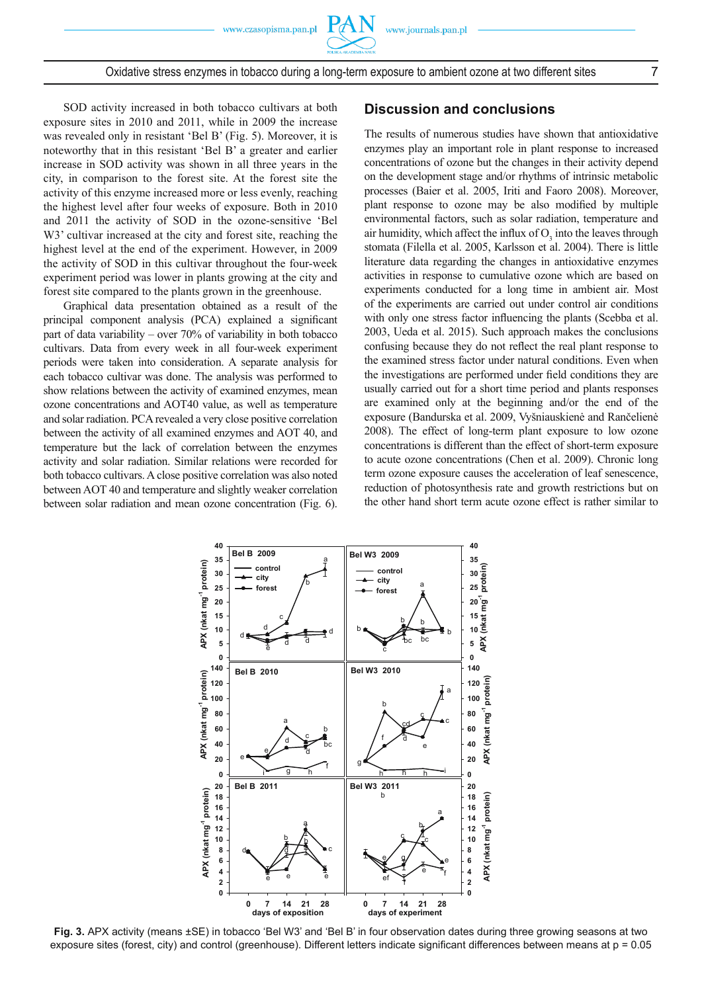SOD activity increased in both tobacco cultivars at both exposure sites in 2010 and 2011, while in 2009 the increase was revealed only in resistant 'Bel B' (Fig. 5). Moreover, it is noteworthy that in this resistant 'Bel B' a greater and earlier increase in SOD activity was shown in all three years in the city, in comparison to the forest site. At the forest site the activity of this enzyme increased more or less evenly, reaching the highest level after four weeks of exposure. Both in 2010 and 2011 the activity of SOD in the ozone-sensitive 'Bel W<sub>3</sub>' cultivar increased at the city and forest site, reaching the highest level at the end of the experiment. However, in 2009 the activity of SOD in this cultivar throughout the four-week experiment period was lower in plants growing at the city and forest site compared to the plants grown in the greenhouse.

Graphical data presentation obtained as a result of the principal component analysis (PCA) explained a significant part of data variability – over 70% of variability in both tobacco cultivars. Data from every week in all four-week experiment periods were taken into consideration. A separate analysis for each tobacco cultivar was done. The analysis was performed to show relations between the activity of examined enzymes, mean ozone concentrations and AOT40 value, as well as temperature and solar radiation. PCA revealed a very close positive correlation between the activity of all examined enzymes and AOT 40, and temperature but the lack of correlation between the enzymes activity and solar radiation. Similar relations were recorded for both tobacco cultivars. A close positive correlation was also noted between AOT 40 and temperature and slightly weaker correlation between solar radiation and mean ozone concentration (Fig. 6).

## **Discussion and conclusions**

The results of numerous studies have shown that antioxidative enzymes play an important role in plant response to increased concentrations of ozone but the changes in their activity depend on the development stage and/or rhythms of intrinsic metabolic processes (Baier et al. 2005, Iriti and Faoro 2008). Moreover, plant response to ozone may be also modified by multiple environmental factors, such as solar radiation, temperature and air humidity, which affect the influx of  $O_3$  into the leaves through stomata (Filella et al. 2005, Karlsson et al. 2004). There is little literature data regarding the changes in antioxidative enzymes activities in response to cumulative ozone which are based on experiments conducted for a long time in ambient air. Most of the experiments are carried out under control air conditions with only one stress factor influencing the plants (Scebba et al. 2003, Ueda et al. 2015). Such approach makes the conclusions confusing because they do not reflect the real plant response to the examined stress factor under natural conditions. Even when the investigations are performed under field conditions they are usually carried out for a short time period and plants responses are examined only at the beginning and/or the end of the exposure (Bandurska et al. 2009, Vyšniauskienė and Rančelienė 2008). The effect of long-term plant exposure to low ozone concentrations is different than the effect of short-term exposure to acute ozone concentrations (Chen et al. 2009). Chronic long term ozone exposure causes the acceleration of leaf senescence, reduction of photosynthesis rate and growth restrictions but on the other hand short term acute ozone effect is rather similar to



**Fig. 3.** APX activity (means ±SE) in tobacco 'Bel W3' and 'Bel B' in four observation dates during three growing seasons at two exposure sites (forest, city) and control (greenhouse). Different letters indicate significant differences between means at  $p = 0.05$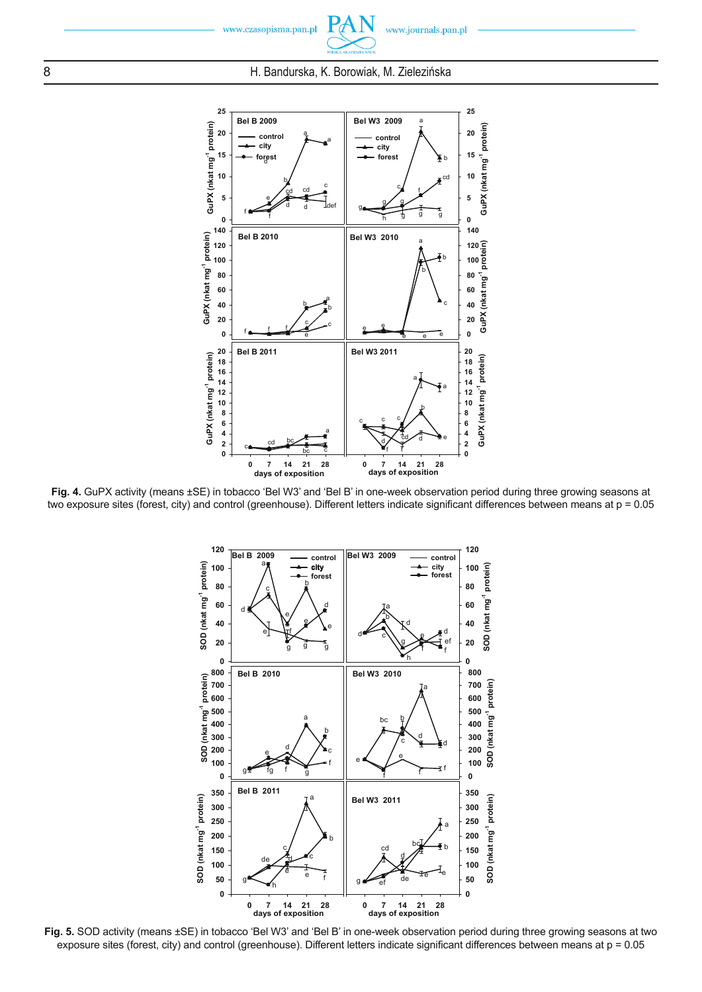$P\mathcal{A}$ 



**Fig. 4.** GuPX activity (means ±SE) in tobacco 'Bel W3' and 'Bel B' in one-week observation period during three growing seasons at two exposure sites (forest, city) and control (greenhouse). Different letters indicate significant differences between means at  $p = 0.05$ 



**Fig. 5.** SOD activity (means ±SE) in tobacco 'Bel W3' and 'Bel B' in one-week observation period during three growing seasons at two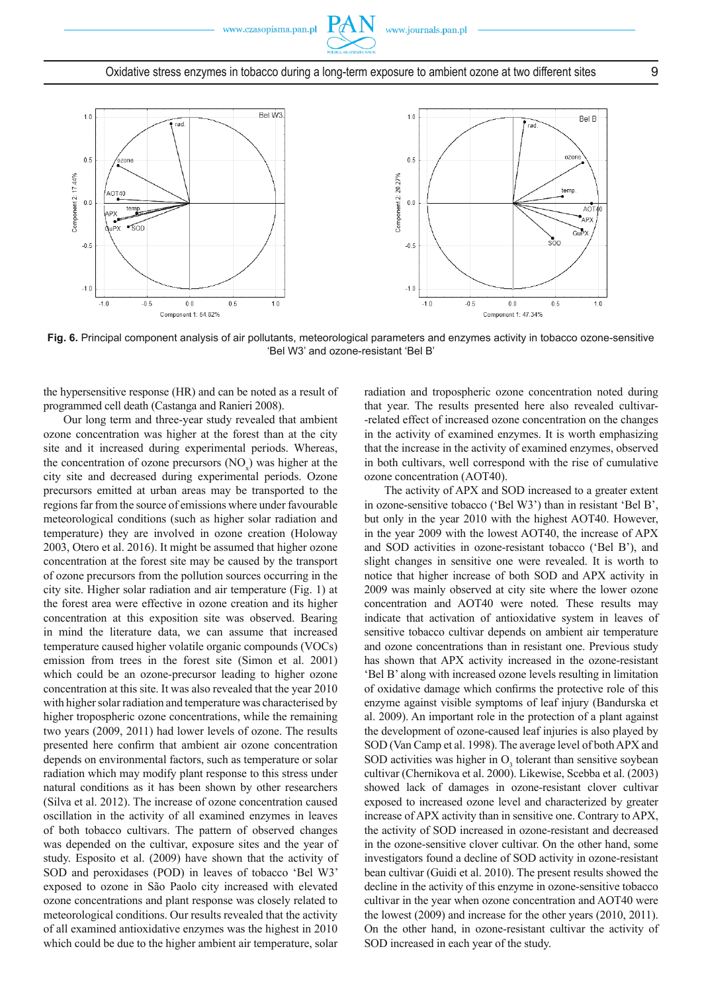



**Fig. 6.** Principal component analysis of air pollutants, meteorological parameters and enzymes activity in tobacco ozone-sensitive 'Bel W3' and ozone-resistant 'Bel B'

the hypersensitive response (HR) and can be noted as a result of programmed cell death (Castanga and Ranieri 2008).

Our long term and three-year study revealed that ambient ozone concentration was higher at the forest than at the city site and it increased during experimental periods. Whereas, the concentration of ozone precursors  $(NO_x)$  was higher at the city site and decreased during experimental periods. Ozone precursors emitted at urban areas may be transported to the regions far from the source of emissions where under favourable meteorological conditions (such as higher solar radiation and temperature) they are involved in ozone creation (Holoway 2003, Otero et al. 2016). It might be assumed that higher ozone concentration at the forest site may be caused by the transport of ozone precursors from the pollution sources occurring in the city site. Higher solar radiation and air temperature (Fig. 1) at the forest area were effective in ozone creation and its higher concentration at this exposition site was observed. Bearing in mind the literature data, we can assume that increased temperature caused higher volatile organic compounds (VOCs) emission from trees in the forest site (Simon et al. 2001) which could be an ozone-precursor leading to higher ozone concentration at this site. It was also revealed that the year 2010 with higher solar radiation and temperature was characterised by higher tropospheric ozone concentrations, while the remaining two years (2009, 2011) had lower levels of ozone. The results presented here confirm that ambient air ozone concentration depends on environmental factors, such as temperature or solar radiation which may modify plant response to this stress under natural conditions as it has been shown by other researchers (Silva et al. 2012). The increase of ozone concentration caused oscillation in the activity of all examined enzymes in leaves of both tobacco cultivars. The pattern of observed changes was depended on the cultivar, exposure sites and the year of study. Esposito et al. (2009) have shown that the activity of SOD and peroxidases (POD) in leaves of tobacco 'Bel W3' exposed to ozone in São Paolo city increased with elevated ozone concentrations and plant response was closely related to meteorological conditions. Our results revealed that the activity of all examined antioxidative enzymes was the highest in 2010 which could be due to the higher ambient air temperature, solar

radiation and tropospheric ozone concentration noted during that year. The results presented here also revealed cultivar- -related effect of increased ozone concentration on the changes in the activity of examined enzymes. It is worth emphasizing that the increase in the activity of examined enzymes, observed in both cultivars, well correspond with the rise of cumulative ozone concentration (AOT40).

The activity of APX and SOD increased to a greater extent in ozone-sensitive tobacco ('Bel W3') than in resistant 'Bel B', but only in the year 2010 with the highest AOT40. However, in the year 2009 with the lowest AOT40, the increase of APX and SOD activities in ozone-resistant tobacco ('Bel B'), and slight changes in sensitive one were revealed. It is worth to notice that higher increase of both SOD and APX activity in 2009 was mainly observed at city site where the lower ozone concentration and AOT40 were noted. These results may indicate that activation of antioxidative system in leaves of sensitive tobacco cultivar depends on ambient air temperature and ozone concentrations than in resistant one. Previous study has shown that APX activity increased in the ozone-resistant 'Bel B' along with increased ozone levels resulting in limitation of oxidative damage which confirms the protective role of this enzyme against visible symptoms of leaf injury (Bandurska et al. 2009). An important role in the protection of a plant against the development of ozone-caused leaf injuries is also played by SOD (Van Camp et al. 1998). The average level of both APX and SOD activities was higher in  $O_3$  tolerant than sensitive soybean cultivar (Chernikova et al. 2000). Likewise, Scebba et al. (2003) showed lack of damages in ozone-resistant clover cultivar exposed to increased ozone level and characterized by greater increase of APX activity than in sensitive one. Contrary to APX, the activity of SOD increased in ozone-resistant and decreased in the ozone-sensitive clover cultivar. On the other hand, some investigators found a decline of SOD activity in ozone-resistant bean cultivar (Guidi et al. 2010). The present results showed the decline in the activity of this enzyme in ozone-sensitive tobacco cultivar in the year when ozone concentration and AOT40 were the lowest (2009) and increase for the other years (2010, 2011). On the other hand, in ozone-resistant cultivar the activity of SOD increased in each year of the study.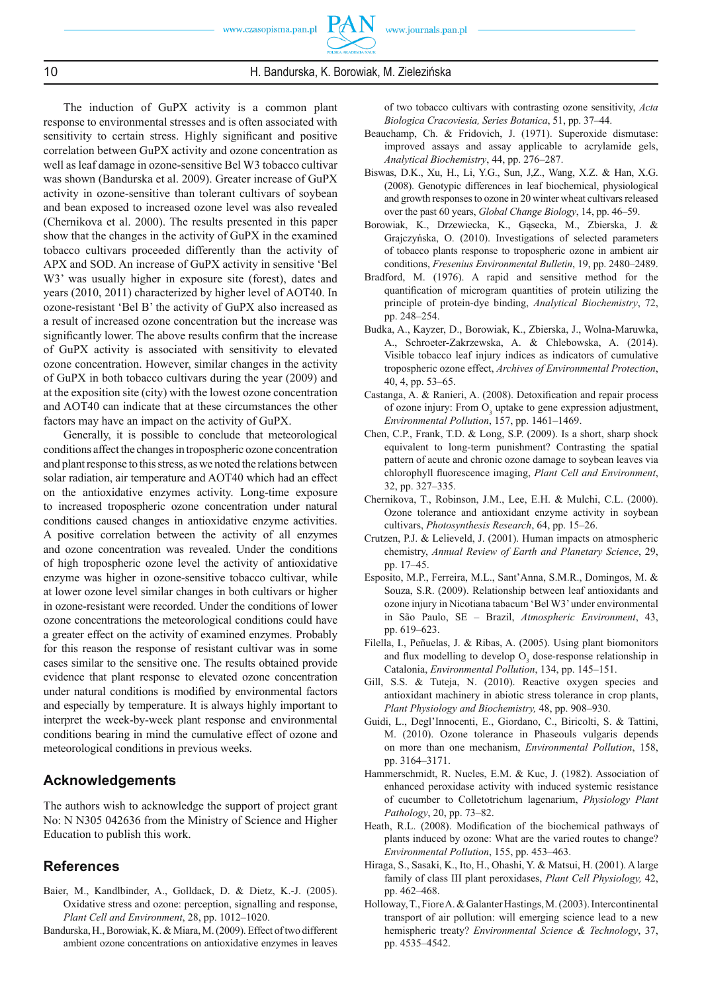

10 H. Bandurska, K. Borowiak, M. Zielezińska

The induction of GuPX activity is a common plant response to environmental stresses and is often associated with sensitivity to certain stress. Highly significant and positive correlation between GuPX activity and ozone concentration as well as leaf damage in ozone-sensitive Bel W3 tobacco cultivar was shown (Bandurska et al. 2009). Greater increase of GuPX activity in ozone-sensitive than tolerant cultivars of soybean and bean exposed to increased ozone level was also revealed (Chernikova et al. 2000). The results presented in this paper show that the changes in the activity of GuPX in the examined tobacco cultivars proceeded differently than the activity of APX and SOD. An increase of GuPX activity in sensitive 'Bel W3' was usually higher in exposure site (forest), dates and years (2010, 2011) characterized by higher level of AOT40. In ozone-resistant 'Bel B' the activity of GuPX also increased as a result of increased ozone concentration but the increase was significantly lower. The above results confirm that the increase of GuPX activity is associated with sensitivity to elevated ozone concentration. However, similar changes in the activity of GuPX in both tobacco cultivars during the year (2009) and at the exposition site (city) with the lowest ozone concentration and AOT40 can indicate that at these circumstances the other factors may have an impact on the activity of GuPX.

Generally, it is possible to conclude that meteorological conditions affect the changes in tropospheric ozone concentration and plant response to this stress, as we noted the relations between solar radiation, air temperature and AOT40 which had an effect on the antioxidative enzymes activity. Long-time exposure to increased tropospheric ozone concentration under natural conditions caused changes in antioxidative enzyme activities. A positive correlation between the activity of all enzymes and ozone concentration was revealed. Under the conditions of high tropospheric ozone level the activity of antioxidative enzyme was higher in ozone-sensitive tobacco cultivar, while at lower ozone level similar changes in both cultivars or higher in ozone-resistant were recorded. Under the conditions of lower ozone concentrations the meteorological conditions could have a greater effect on the activity of examined enzymes. Probably for this reason the response of resistant cultivar was in some cases similar to the sensitive one. The results obtained provide evidence that plant response to elevated ozone concentration under natural conditions is modified by environmental factors and especially by temperature. It is always highly important to interpret the week-by-week plant response and environmental conditions bearing in mind the cumulative effect of ozone and meteorological conditions in previous weeks.

# **Acknowledgements**

The authors wish to acknowledge the support of project grant No: N N305 042636 from the Ministry of Science and Higher Education to publish this work.

## **References**

- Baier, M., Kandlbinder, A., Golldack, D. & Dietz, K.-J. (2005). Oxidative stress and ozone: perception, signalling and response, *Plant Cell and Environment*, 28, pp. 1012–1020.
- Bandurska, H., Borowiak, K. & Miara, M. (2009). Effect of two different ambient ozone concentrations on antioxidative enzymes in leaves

of two tobacco cultivars with contrasting ozone sensitivity, *Acta Biologica Cracoviesia, Series Botanica*, 51, pp. 37–44.

- Beauchamp, Ch. & Fridovich, J. (1971). Superoxide dismutase: improved assays and assay applicable to acrylamide gels, *Analytical Biochemistry*, 44, pp. 276–287.
- Biswas, D.K., Xu, H., Li, Y.G., Sun, J,Z., Wang, X.Z. & Han, X.G. (2008). Genotypic differences in leaf biochemical, physiological and growth responses to ozone in 20 winter wheat cultivars released over the past 60 years, *Global Change Biology*, 14, pp. 46–59.
- Borowiak, K., Drzewiecka, K., Gąsecka, M., Zbierska, J. & Grajczyńska, O. (2010). Investigations of selected parameters of tobacco plants response to tropospheric ozone in ambient air conditions, *Fresenius Environmental Bulletin*, 19, pp. 2480–2489.
- Bradford, M. (1976). A rapid and sensitive method for the quantification of microgram quantities of protein utilizing the principle of protein-dye binding, *Analytical Biochemistry*, 72, pp. 248–254.
- Budka, A., Kayzer, D., Borowiak, K., Zbierska, J., Wolna-Maruwka, A., Schroeter-Zakrzewska, A. & Chlebowska, A. (2014). Visible tobacco leaf injury indices as indicators of cumulative tropospheric ozone effect, *Archives of Environmental Protection*, 40, 4, pp. 53–65.
- Castanga, A. & Ranieri, A. (2008). Detoxification and repair process of ozone injury: From  $O_3$  uptake to gene expression adjustment, *Environmental Pollution*, 157, pp. 1461–1469.
- Chen, C.P., Frank, T.D. & Long, S.P. (2009). Is a short, sharp shock equivalent to long-term punishment? Contrasting the spatial pattern of acute and chronic ozone damage to soybean leaves via chlorophyll fluorescence imaging, *Plant Cell and Environment*, 32, pp. 327–335.
- Chernikova, T., Robinson, J.M., Lee, E.H. & Mulchi, C.L. (2000). Ozone tolerance and antioxidant enzyme activity in soybean cultivars, *Photosynthesis Research*, 64, pp. 15–26.
- Crutzen, P.J. & Lelieveld, J. (2001). Human impacts on atmospheric chemistry, *Annual Review of Earth and Planetary Science*, 29, pp. 17–45.
- Esposito, M.P., Ferreira, M.L., Sant'Anna, S.M.R., Domingos, M. & Souza, S.R. (2009). Relationship between leaf antioxidants and ozone injury in Nicotiana tabacum 'Bel W3' under environmental in São Paulo, SE – Brazil, *Atmospheric Environment*, 43, pp. 619–623.
- Filella, I., Peñuelas, J. & Ribas, A. (2005). Using plant biomonitors and flux modelling to develop  $O_3$  dose-response relationship in Catalonia, *Environmental Pollution*, 134, pp. 145–151.
- Gill, S.S. & Tuteja, N. (2010). Reactive oxygen species and antioxidant machinery in abiotic stress tolerance in crop plants, *Plant Physiology and Biochemistry,* 48, pp. 908–930.
- Guidi, L., Degl'Innocenti, E., Giordano, C., Biricolti, S. & Tattini, M. (2010). Ozone tolerance in Phaseouls vulgaris depends on more than one mechanism, *Environmental Pollution*, 158, pp. 3164–3171.
- Hammerschmidt, R. Nucles, E.M. & Kuc, J. (1982). Association of enhanced peroxidase activity with induced systemic resistance of cucumber to Colletotrichum lagenarium, *Physiology Plant Pathology*, 20, pp. 73–82.
- Heath, R.L. (2008). Modification of the biochemical pathways of plants induced by ozone: What are the varied routes to change? *Environmental Pollution*, 155, pp. 453–463.
- Hiraga, S., Sasaki, K., Ito, H., Ohashi, Y. & Matsui, H. (2001). A large family of class III plant peroxidases, *Plant Cell Physiology,* 42, pp. 462–468.
- Holloway, T., Fiore A. & Galanter Hastings, M. (2003). Intercontinental transport of air pollution: will emerging science lead to a new hemispheric treaty? *Environmental Science & Technology*, 37, pp. 4535–4542.